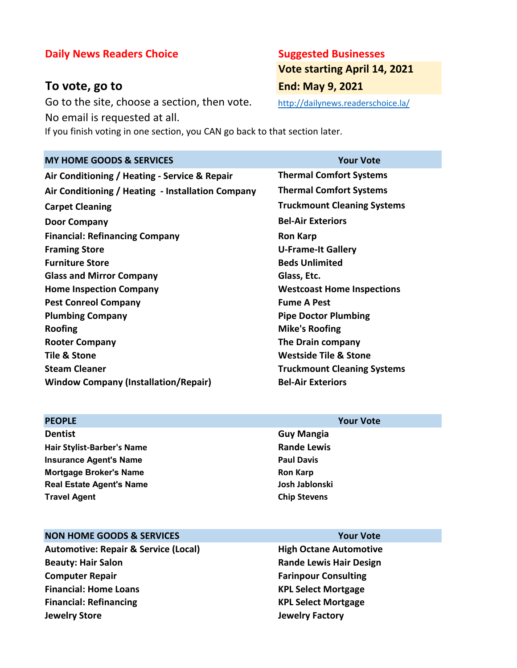# **Daily News Readers Choice <b>Suggested Businesses**

# **To vote, go to End: May 9, 2021**

Go to the site, choose a section, then vote. http://dailynews.readerschoice.la/ No email is requested at all.

If you finish voting in one section, you CAN go back to that section later.

# **MY HOME GOODS & SERVICES Your Vote Air Conditioning / Heating - Service & Repair Thermal Comfort Systems Air Conditioning / Heating - Installation Company Thermal Comfort Systems Carpet Cleaning Truckmount Cleaning Systems Door Company Bel-Air Exteriors Financial: Refinancing Company Ron Karp Framing Store U-Frame-It Gallery Furniture Store Beds Unlimited Glass and Mirror Company Glass, Etc. Home Inspection Company Westcoast Home Inspections Pest Conreol Company Fume A Pest Plumbing Company Pipe Doctor Plumbing Roofing Mike's Roofing Rooter Company The Drain company Tile & Stone Westside Tile & Stone Steam Cleaner Truckmount Cleaning Systems Window Company (Installation/Repair)** Bel-Air Exteriors

### **PEOPLE Your Vote**

**Dentist Guy Mangia Hair Stylist-Barber's Name Rande Lewis Insurance Agent's Name Paul Davis Paul Davis Mortgage Broker's Name Ron Karp Ron Karp Real Estate Agent's Name Josh Jablonski Travel Agent Chip Stevens**

## **NON HOME GOODS & SERVICES Your Vote**

Automotive: Repair & Service (Local) **High Octane Automotive Beauty: Hair Salon Rande Lewis Hair Design Computer Repair Farinpour Consulting Financial: Home Loans KPL Select Mortgage Financial: Refinancing KPL Select Mortgage Jewelry Store Jewelry Factory**

# **Vote starting April 14, 2021**